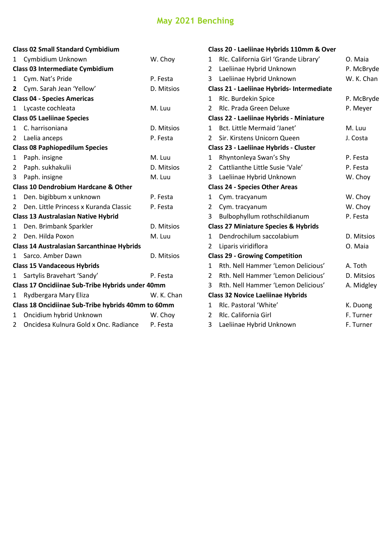## **May 2021 Benching**

| <b>Class 02 Small Standard Cymbidium</b>           |                                                 |            |  |  |  |
|----------------------------------------------------|-------------------------------------------------|------------|--|--|--|
| 1                                                  | Cymbidium Unknown                               | W. Choy    |  |  |  |
|                                                    | <b>Class 03 Intermediate Cymbidium</b>          |            |  |  |  |
| 1                                                  | Cym. Nat's Pride                                | P. Festa   |  |  |  |
| 2                                                  | Cym. Sarah Jean 'Yellow'                        | D. Mitsios |  |  |  |
| <b>Class 04 - Species Americas</b>                 |                                                 |            |  |  |  |
| 1                                                  | Lycaste cochleata                               | M. Luu     |  |  |  |
|                                                    | <b>Class 05 Laeliinae Species</b>               |            |  |  |  |
| 1                                                  | C. harrisoniana                                 | D. Mitsios |  |  |  |
| 2                                                  | Laelia anceps                                   | P. Festa   |  |  |  |
| <b>Class 08 Paphiopedilum Species</b>              |                                                 |            |  |  |  |
| 1                                                  | Paph. insigne                                   | M. Luu     |  |  |  |
| 2                                                  | Paph. sukhakulii                                | D. Mitsios |  |  |  |
| 3                                                  | Paph. insigne                                   | M. Luu     |  |  |  |
|                                                    | <b>Class 10 Dendrobium Hardcane &amp; Other</b> |            |  |  |  |
| 1                                                  | Den. bigibbum x unknown                         | P. Festa   |  |  |  |
| $\mathcal{P}$                                      | Den. Little Princess x Kuranda Classic          | P. Festa   |  |  |  |
|                                                    | <b>Class 13 Australasian Native Hybrid</b>      |            |  |  |  |
| 1                                                  | Den. Brimbank Sparkler                          | D. Mitsios |  |  |  |
| $\overline{2}$                                     | Den. Hilda Poxon                                | M. Luu     |  |  |  |
| <b>Class 14 Australasian Sarcanthinae Hybrids</b>  |                                                 |            |  |  |  |
| 1                                                  | Sarco, Amber Dawn                               | D. Mitsios |  |  |  |
| <b>Class 15 Vandaceous Hybrids</b>                 |                                                 |            |  |  |  |
| 1                                                  | Sartylis Bravehart 'Sandy'                      | P. Festa   |  |  |  |
| Class 17 Oncidiinae Sub-Tribe Hybrids under 40mm   |                                                 |            |  |  |  |
| 1                                                  | Rydbergara Mary Eliza                           | W. K. Chan |  |  |  |
| Class 18 Oncidiinae Sub-Tribe hybrids 40mm to 60mm |                                                 |            |  |  |  |
| 1                                                  | Oncidium hybrid Unknown                         | W. Choy    |  |  |  |
| 2                                                  | Oncidesa Kulnura Gold x Onc. Radiance           | P. Festa   |  |  |  |
|                                                    |                                                 |            |  |  |  |

| Class 20 - Laeliinae Hybrids 110mm & Over       |                                       |            |  |  |  |
|-------------------------------------------------|---------------------------------------|------------|--|--|--|
| 1                                               | Rlc. California Girl 'Grande Library' | O. Maia    |  |  |  |
| 2                                               | Laeliinae Hybrid Unknown              | P. McBryde |  |  |  |
| 3                                               | Laeliinae Hybrid Unknown              | W. K. Chan |  |  |  |
| Class 21 - Laeliinae Hybrids- Intermediate      |                                       |            |  |  |  |
| 1                                               | Rlc. Burdekin Spice                   | P. McBryde |  |  |  |
| $\mathfrak{p}$                                  | Rlc. Prada Green Deluxe               | P. Meyer   |  |  |  |
| Class 22 - Laeliinae Hybrids - Miniature        |                                       |            |  |  |  |
| 1                                               | Bct. Little Mermaid 'Janet'           | M. Luu     |  |  |  |
| $\mathcal{P}$                                   | Sir. Kirstens Unicorn Queen           | J. Costa   |  |  |  |
| Class 23 - Laeliinae Hybrids - Cluster          |                                       |            |  |  |  |
| 1                                               | Rhyntonleya Swan's Shy                | P. Festa   |  |  |  |
| $\mathfrak{p}$                                  | Cattlianthe Little Susie 'Vale'       | P. Festa   |  |  |  |
| 3                                               | Laeliinae Hybrid Unknown              | W. Choy    |  |  |  |
| <b>Class 24 - Species Other Areas</b>           |                                       |            |  |  |  |
| 1                                               | Cym. tracyanum                        | W. Choy    |  |  |  |
| 2                                               | Cym. tracyanum                        | W. Choy    |  |  |  |
| 3                                               | Bulbophyllum rothschildianum          | P. Festa   |  |  |  |
| <b>Class 27 Miniature Species &amp; Hybrids</b> |                                       |            |  |  |  |
| 1                                               | Dendrochilum saccolabium              | D. Mitsios |  |  |  |
| 2                                               | Liparis viridiflora                   | O. Maia    |  |  |  |
| <b>Class 29 - Growing Competition</b>           |                                       |            |  |  |  |
| 1                                               | Rth. Nell Hammer 'Lemon Delicious'    | A. Toth    |  |  |  |
| 2                                               | Rth. Nell Hammer 'Lemon Delicious'    | D. Mitsios |  |  |  |
| 3                                               | Rth. Nell Hammer 'Lemon Delicious'    | A. Midgley |  |  |  |
| <b>Class 32 Novice Laeliinae Hybrids</b>        |                                       |            |  |  |  |
| 1                                               | Rlc. Pastoral 'White'                 | K. Duong   |  |  |  |
| 2                                               | Rlc. California Girl                  | F. Turner  |  |  |  |
| 3                                               | Laeliinae Hybrid Unknown              | F. Turner  |  |  |  |
|                                                 |                                       |            |  |  |  |